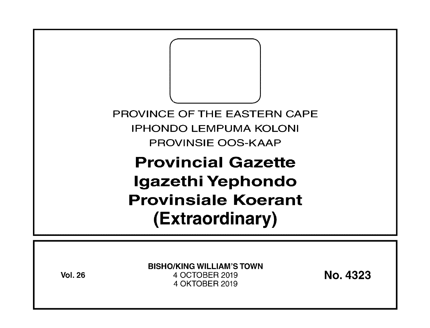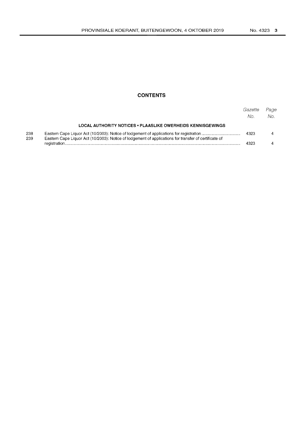## **CONTENTS**

|            |                                                                                                       | Gazette<br>No. | Page<br>No. |
|------------|-------------------------------------------------------------------------------------------------------|----------------|-------------|
|            | LOCAL AUTHORITY NOTICES . PLAASLIKE OWERHEIDS KENNISGEWINGS                                           |                |             |
| 238<br>239 | Eastern Cape Liquor Act (10/2003): Notice of lodgement of applications for transfer of certificate of | 4323           |             |
|            |                                                                                                       | 4323           |             |